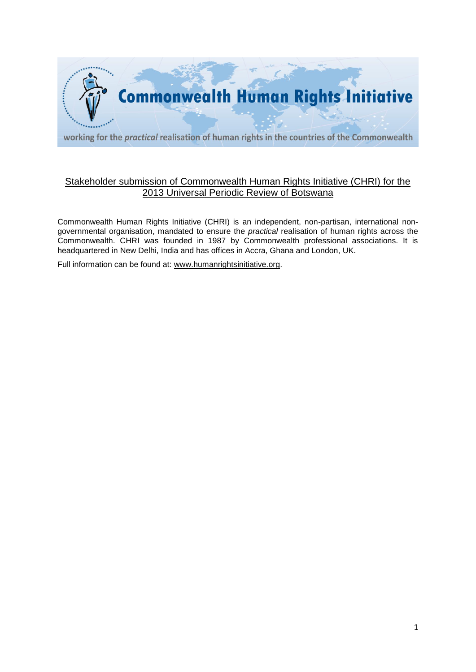

# Stakeholder submission of Commonwealth Human Rights Initiative (CHRI) for the 2013 Universal Periodic Review of Botswana

Commonwealth Human Rights Initiative (CHRI) is an independent, non-partisan, international nongovernmental organisation, mandated to ensure the *practical* realisation of human rights across the Commonwealth. CHRI was founded in 1987 by Commonwealth professional associations. It is headquartered in New Delhi, India and has offices in Accra, Ghana and London, UK.

Full information can be found at: [www.humanrightsinitiative.org.](http://www.humanrightsinitiative.org/)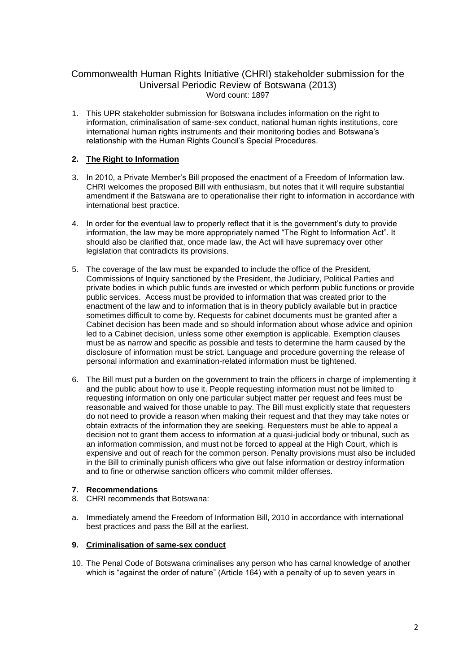## Commonwealth Human Rights Initiative (CHRI) stakeholder submission for the Universal Periodic Review of Botswana (2013) Word count: 1897

1. This UPR stakeholder submission for Botswana includes information on the right to information, criminalisation of same-sex conduct, national human rights institutions, core international human rights instruments and their monitoring bodies and Botswana's relationship with the Human Rights Council's Special Procedures.

## **2. The Right to Information**

- 3. In 2010, a Private Member's Bill proposed the enactment of a Freedom of Information law. CHRI welcomes the proposed Bill with enthusiasm, but notes that it will require substantial amendment if the Batswana are to operationalise their right to information in accordance with international best practice.
- 4. In order for the eventual law to properly reflect that it is the government's duty to provide information, the law may be more appropriately named "The Right to Information Act". It should also be clarified that, once made law, the Act will have supremacy over other legislation that contradicts its provisions.
- 5. The coverage of the law must be expanded to include the office of the President, Commissions of Inquiry sanctioned by the President, the Judiciary, Political Parties and private bodies in which public funds are invested or which perform public functions or provide public services. Access must be provided to information that was created prior to the enactment of the law and to information that is in theory publicly available but in practice sometimes difficult to come by. Requests for cabinet documents must be granted after a Cabinet decision has been made and so should information about whose advice and opinion led to a Cabinet decision, unless some other exemption is applicable. Exemption clauses must be as narrow and specific as possible and tests to determine the harm caused by the disclosure of information must be strict. Language and procedure governing the release of personal information and examination-related information must be tightened.
- 6. The Bill must put a burden on the government to train the officers in charge of implementing it and the public about how to use it. People requesting information must not be limited to requesting information on only one particular subject matter per request and fees must be reasonable and waived for those unable to pay. The Bill must explicitly state that requesters do not need to provide a reason when making their request and that they may take notes or obtain extracts of the information they are seeking. Requesters must be able to appeal a decision not to grant them access to information at a quasi-judicial body or tribunal, such as an information commission, and must not be forced to appeal at the High Court, which is expensive and out of reach for the common person. Penalty provisions must also be included in the Bill to criminally punish officers who give out false information or destroy information and to fine or otherwise sanction officers who commit milder offenses.

#### **7. Recommendations**

- 8. CHRI recommends that Botswana:
- a. Immediately amend the Freedom of Information Bill, 2010 in accordance with international best practices and pass the Bill at the earliest.

## **9. Criminalisation of same-sex conduct**

10. The Penal Code of Botswana criminalises any person who has carnal knowledge of another which is "against the order of nature" (Article 164) with a penalty of up to seven years in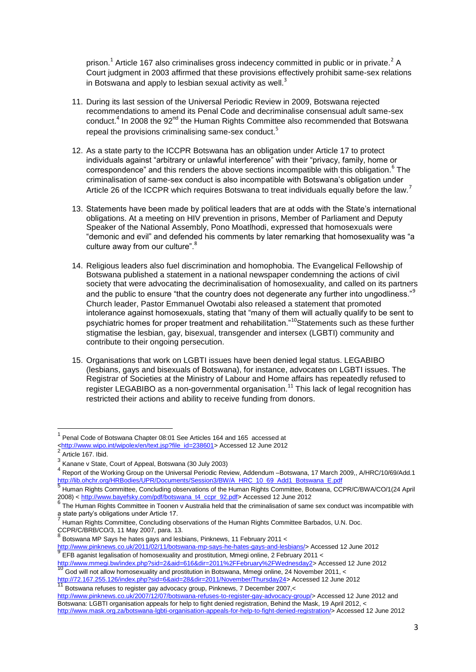prison.<sup>1</sup> Article 167 also criminalises gross indecency committed in public or in private.<sup>2</sup> A Court judgment in 2003 affirmed that these provisions effectively prohibit same-sex relations in Botswana and apply to lesbian sexual activity as well. $3$ 

- 11. During its last session of the Universal Periodic Review in 2009, Botswana rejected recommendations to amend its Penal Code and decriminalise consensual adult same-sex conduct.<sup>4</sup> In 2008 the 92<sup>nd</sup> the Human Rights Committee also recommended that Botswana repeal the provisions criminalising same-sex conduct.<sup>5</sup>
- 12. As a state party to the ICCPR Botswana has an obligation under Article 17 to protect individuals against "arbitrary or unlawful interference" with their "privacy, family, home or correspondence" and this renders the above sections incompatible with this obligation.<sup>6</sup> The criminalisation of same-sex conduct is also incompatible with Botswana's obligation under Article 26 of the ICCPR which requires Botswana to treat individuals equally before the law.<sup>7</sup>
- 13. Statements have been made by political leaders that are at odds with the State's international obligations. At a meeting on HIV prevention in prisons, Member of Parliament and Deputy Speaker of the National Assembly, Pono Moatlhodi, expressed that homosexuals were "demonic and evil" and defended his comments by later remarking that homosexuality was "a culture away from our culture".<sup>8</sup>
- 14. Religious leaders also fuel discrimination and homophobia. The Evangelical Fellowship of Botswana published a statement in a national newspaper condemning the actions of civil society that were advocating the decriminalisation of homosexuality, and called on its partners and the public to ensure "that the country does not degenerate any further into ungodliness."<sup>9</sup> Church leader, Pastor Emmanuel Owotabi also released a statement that promoted intolerance against homosexuals, stating that "many of them will actually qualify to be sent to psychiatric homes for proper treatment and rehabilitation."<sup>10</sup>Statements such as these further stigmatise the lesbian, gay, bisexual, transgender and intersex (LGBTI) community and contribute to their ongoing persecution.
- 15. Organisations that work on LGBTI issues have been denied legal status. LEGABIBO (lesbians, gays and bisexuals of Botswana), for instance, advocates on LGBTI issues. The Registrar of Societies at the Ministry of Labour and Home affairs has repeatedly refused to register LEGABIBO as a non-governmental organisation.<sup>11</sup> This lack of legal recognition has restricted their actions and ability to receive funding from donors.

**.** 

<sup>&</sup>lt;sup>1</sup> Penal Code of Botswana Chapter 08:01 See Articles 164 and 165 accessed at

[<sup>&</sup>lt;http://www.wipo.int/wipolex/en/text.jsp?file\\_id=238601>](http://www.wipo.int/wipolex/en/text.jsp?file_id=238601) Accessed 12 June 2012<br>2. Actists 497, thist

Article 167. Ibid.

 $3$  Kanane v State, Court of Appeal, Botswana (30 July 2003)<br> $4$  Benedict the Westline Course as the Universe Besiet's Bro

Report of the Working Group on the Universal Periodic Review, Addendum –Botswana, 17 March 2009,, A/HRC/10/69/Add.1 [http://lib.ohchr.org/HRBodies/UPR/Documents/Session3/BW/A\\_HRC\\_10\\_69\\_Add1\\_Botswana\\_E.pdf](http://lib.ohchr.org/HRBodies/UPR/Documents/Session3/BW/A_HRC_10_69_Add1_Botswana_E.pdf) 5

Human Rights Committee, Concluding observations of the Human Rights Committee, Botwana, CCPR/C/BWA/CO/1(24 April 2008) < [http://www.bayefsky.com/pdf/botswana\\_t4\\_ccpr\\_92.pdf>](http://www.bayefsky.com/pdf/botswana_t4_ccpr_92.pdf) Accessed 12 June 2012

<sup>&</sup>lt;sup>6</sup> The Human Rights Committee in Toonen v Australia held that the criminalisation of same sex conduct was incompatible with a state party's obligations under Article 17.<br>7 Uww.se Biskte Qamerittes, Qamerittes at

Human Rights Committee, Concluding observations of the Human Rights Committee Barbados, U.N. Doc. CCPR/C/BRB/CO/3, 11 May 2007, para. 13. 8

Botswana MP Says he hates gays and lesbians, Pinknews, 11 February 2011 <

<sup>&</sup>lt;u>http://www.pinknews.co.uk/2011/02/11/botswana-mp-says-he-hates-gays-and-lesbians/</u>> Accessed 12 June 2012<br><sup>9</sup> EFB aganist legalisation of homosexuality and prostitution, Mmegi online, 2 February 2011 <

[http://www.mmegi.bw/index.php?sid=2&aid=616&dir=2011%2FFebruary%2FWednesday2>](http://www.mmegi.bw/index.php?sid=2&aid=616&dir=2011%2FFebruary%2FWednesday2) Accessed 12 June 2012

God will not allow homosexuality and prostitution in Botswana, Mmegi online, 24 November 2011, < <u>http://72.167.255.126/index.php?sid=6&aid=28&dir=2011/November/Thursday24</u>> Accessed 12 June 2012<br><sup>11</sup> Botswana refuses to register gay advocacy group, Pinknews, 7 December 2007,<

[http://www.pinknews.co.uk/2007/12/07/botswana-refuses-to-register-gay-advocacy-group/>](http://www.pinknews.co.uk/2007/12/07/botswana-refuses-to-register-gay-advocacy-group/) Accessed 12 June 2012 and Botswana: LGBTI organisation appeals for help to fight denied registration, Behind the Mask, 19 April 2012, < [http://www.mask.org.za/botswana-lgbti-organisation-appeals-for-help-to-fight-denied-registration/>](http://www.mask.org.za/botswana-lgbti-organisation-appeals-for-help-to-fight-denied-registration/) Accessed 12 June 2012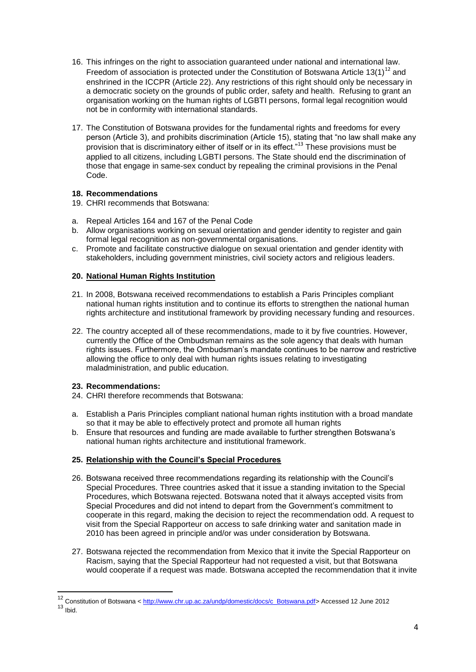- 16. This infringes on the right to association guaranteed under national and international law. Freedom of association is protected under the Constitution of Botswana Article 13(1)<sup>12</sup> and enshrined in the ICCPR (Article 22). Any restrictions of this right should only be necessary in a democratic society on the grounds of public order, safety and health. Refusing to grant an organisation working on the human rights of LGBTI persons, formal legal recognition would not be in conformity with international standards.
- 17. The Constitution of Botswana provides for the fundamental rights and freedoms for every person (Article 3), and prohibits discrimination (Article 15), stating that "no law shall make any provision that is discriminatory either of itself or in its effect."<sup>13</sup> These provisions must be applied to all citizens, including LGBTI persons. The State should end the discrimination of those that engage in same-sex conduct by repealing the criminal provisions in the Penal Code.

### **18. Recommendations**

- 19. CHRI recommends that Botswana:
- a. Repeal Articles 164 and 167 of the Penal Code
- b. Allow organisations working on sexual orientation and gender identity to register and gain formal legal recognition as non-governmental organisations.
- c. Promote and facilitate constructive dialogue on sexual orientation and gender identity with stakeholders, including government ministries, civil society actors and religious leaders.

## **20. National Human Rights Institution**

- 21. In 2008, Botswana received recommendations to establish a Paris Principles compliant national human rights institution and to continue its efforts to strengthen the national human rights architecture and institutional framework by providing necessary funding and resources.
- 22. The country accepted all of these recommendations, made to it by five countries. However, currently the Office of the Ombudsman remains as the sole agency that deals with human rights issues. Furthermore, the Ombudsman's mandate continues to be narrow and restrictive allowing the office to only deal with human rights issues relating to investigating maladministration, and public education.

#### **23. Recommendations:**

- 24. CHRI therefore recommends that Botswana:
- a. Establish a Paris Principles compliant national human rights institution with a broad mandate so that it may be able to effectively protect and promote all human rights
- b. Ensure that resources and funding are made available to further strengthen Botswana's national human rights architecture and institutional framework.

## **25. Relationship with the Council's Special Procedures**

- 26. Botswana received three recommendations regarding its relationship with the Council's Special Procedures. Three countries asked that it issue a standing invitation to the Special Procedures, which Botswana rejected. Botswana noted that it always accepted visits from Special Procedures and did not intend to depart from the Government's commitment to cooperate in this regard, making the decision to reject the recommendation odd. A request to visit from the Special Rapporteur on access to safe drinking water and sanitation made in 2010 has been agreed in principle and/or was under consideration by Botswana.
- 27. Botswana rejected the recommendation from Mexico that it invite the Special Rapporteur on Racism, saying that the Special Rapporteur had not requested a visit, but that Botswana would cooperate if a request was made. Botswana accepted the recommendation that it invite

**.** 

<sup>&</sup>lt;sup>12</sup> Constitution of Botswana < [http://www.chr.up.ac.za/undp/domestic/docs/c\\_Botswana.pdf>](http://www.chr.up.ac.za/undp/domestic/docs/c_Botswana.pdf) Accessed 12 June 2012  $13$  Ibid.